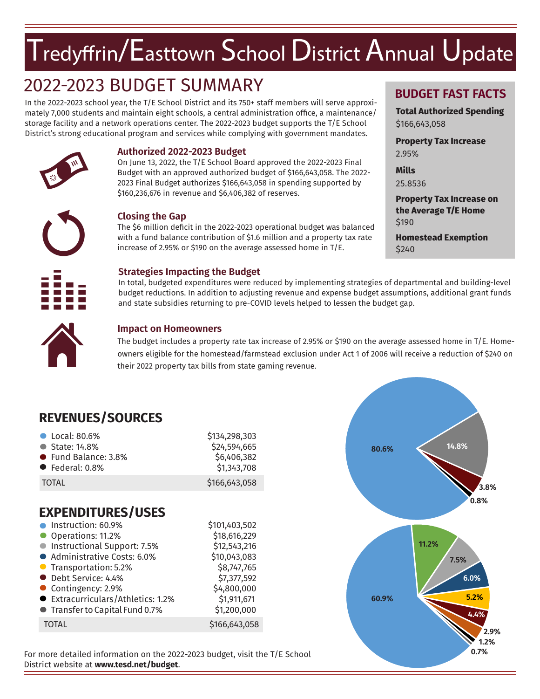## $T$ redyffrin/ $\sf E$ asttown  $\sf S$ chool  $\sf D$ istrict  $\sf A$ nnual  $\sf U$ pdate

## 2022-2023 BUDGET SUMMARY

In the 2022-2023 school year, the T/E School District and its 750+ staff members will serve approximately 7,000 students and maintain eight schools, a central administration office, a maintenance/ storage facility and a network operations center. The 2022-2023 budget supports the T/E School District's strong educational program and services while complying with government mandates.



**Authorized 2022-2023 Budget**<br>
On June 13, 2022, the T/E School Boa<br>
Budget with an approved authorized<br>
2023 Final Budget authorizes \$166,66<br>
\$160,236,676 in revenue and \$6,406,3 On June 13, 2022, the T/E School Board approved the 2022-2023 Final Budget with an approved authorized budget of \$166,643,058. The 2022- 2023 Final Budget authorizes \$166,643,058 in spending supported by \$160,236,676 in revenue and \$6,406,382 of reserves.



#### **Closing the Gap**

The \$6 million deficit in the 2022-2023 operational budget was balanced with a fund balance contribution of \$1.6 million and a property tax rate increase of 2.95% or \$190 on the average assessed home in T/E.

#### g **Strategies Impacting the Budget**

In total, budgeted expenditures were reduced by implementing strategies of departmental and building-level budget reductions. In addition to adjusting revenue and expense budget assumptions, additional grant funds and state subsidies returning to pre-COVID levels helped to lessen the budget gap.



#### **Impact on Homeowners**

The budget includes a property rate tax increase of 2.95% or \$190 on the average assessed home in T/E. Homeowners eligible for the homestead/farmstead exclusion under Act 1 of 2006 will receive a reduction of \$240 on their 2022 property tax bills from state gaming revenue.

### **REVENUES/SOURCES**

| • Local: 80.6%          | \$134,298,303 |
|-------------------------|---------------|
| ● State: 14.8%          | \$24,594,665  |
| ● Fund Balance: 3.8%    | \$6,406,382   |
| $\bullet$ Federal: 0.8% | \$1,343,708   |
| <b>TOTAL</b>            | \$166,643,058 |

### **EXPENDITURES/USES**

| Instruction: 60.9%                 | \$101,403,502 |
|------------------------------------|---------------|
| Operations: 11.2%                  | \$18,616,229  |
| • Instructional Support: 7.5%      | \$12,543,216  |
| Administrative Costs: 6.0%         | \$10,043,083  |
| ● Transportation: 5.2%             | \$8,747,765   |
| • Debt Service: 4.4%               | \$7,377,592   |
| Contingency: 2.9%                  | \$4,800,000   |
| ● Extracurriculars/Athletics: 1.2% | \$1,911,671   |
| ● Transfer to Capital Fund 0.7%    | \$1,200,000   |
| <b>TOTAL</b>                       | \$166,643,058 |

For more detailed information on the 2022-2023 budget, visit the T/E School District website at **www.tesd.net/budget**.



#### **BUDGET FAST FACTS**

**Total Authorized Spending** \$166,643,058

**Property Tax Increase** 2.95%

**Mills** 25.8536

**Property Tax Increase on the Average T/E Home** \$190

**Homestead Exemption** \$240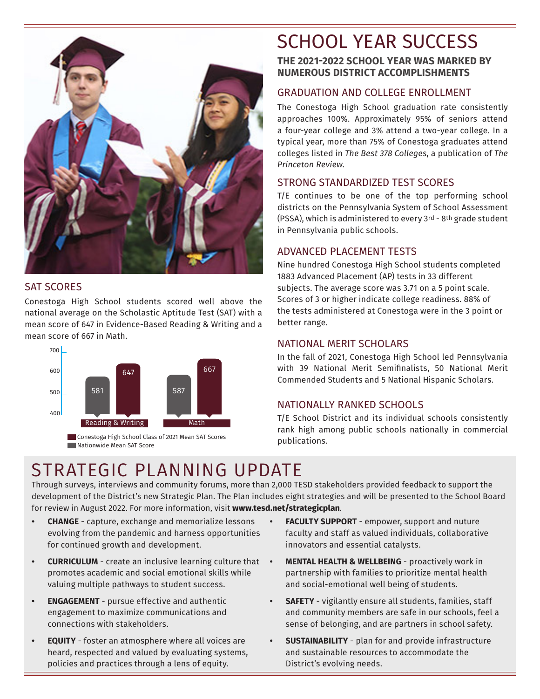

#### SAT SCORES

Conestoga High School students scored well above the national average on the Scholastic Aptitude Test (SAT) with a mean score of 647 in Evidence-Based Reading & Writing and a mean score of 667 in Math.



**Conestoga High School Class of 2021 Mean SAT Scores Nationwide Mean SAT Score** 

## STRATEGIC PLANNING UPDATE

Through surveys, interviews and community forums, more than 2,000 TESD stakeholders provided feedback to support the development of the District's new Strategic Plan. The Plan includes eight strategies and will be presented to the School Board for review in August 2022. For more information, visit **www.tesd.net/strategicplan**.

- **• CHANGE** capture, exchange and memorialize lessons evolving from the pandemic and harness opportunities for continued growth and development.
- **• CURRICULUM** create an inclusive learning culture that promotes academic and social emotional skills while valuing multiple pathways to student success.
- **• ENGAGEMENT** pursue effective and authentic engagement to maximize communications and connections with stakeholders.
- **• EQUITY** foster an atmosphere where all voices are heard, respected and valued by evaluating systems, policies and practices through a lens of equity.

## SCHOOL YEAR SUCCESS

#### **THE 2021-2022 SCHOOL YEAR WAS MARKED BY NUMEROUS DISTRICT ACCOMPLISHMENTS**

#### GRADUATION AND COLLEGE ENROLLMENT

The Conestoga High School graduation rate consistently approaches 100%. Approximately 95% of seniors attend a four-year college and 3% attend a two-year college. In a typical year, more than 75% of Conestoga graduates attend colleges listed in *The Best 378 Colleges*, a publication of *The Princeton Review*.

#### STRONG STANDARDIZED TEST SCORES

T/E continues to be one of the top performing school districts on the Pennsylvania System of School Assessment (PSSA), which is administered to every 3rd - 8th grade student in Pennsylvania public schools.

#### ADVANCED PLACEMENT TESTS

Nine hundred Conestoga High School students completed 1883 Advanced Placement (AP) tests in 33 different subjects. The average score was 3.71 on a 5 point scale. Scores of 3 or higher indicate college readiness. 88% of the tests administered at Conestoga were in the 3 point or better range.

#### NATIONAL MERIT SCHOLARS

In the fall of 2021, Conestoga High School led Pennsylvania with 39 National Merit Semifinalists, 50 National Merit Commended Students and 5 National Hispanic Scholars.

#### NATIONALLY RANKED SCHOOLS

T/E School District and its individual schools consistently rank high among public schools nationally in commercial publications.

- **• FACULTY SUPPORT** empower, support and nuture faculty and staff as valued individuals, collaborative innovators and essential catalysts.
- **MENTAL HEALTH & WELLBEING** proactively work in partnership with families to prioritize mental health and social-emotional well being of students.
- **• SAFETY** vigilantly ensure all students, families, staff and community members are safe in our schools, feel a sense of belonging, and are partners in school safety.
- **• SUSTAINABILITY** plan for and provide infrastructure and sustainable resources to accommodate the District's evolving needs.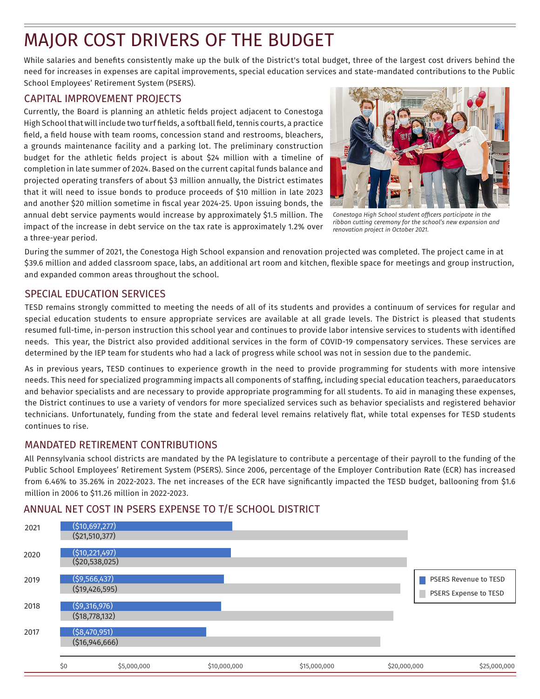## MAJOR COST DRIVERS OF THE BUDGET

While salaries and benefits consistently make up the bulk of the District's total budget, three of the largest cost drivers behind the need for increases in expenses are capital improvements, special education services and state-mandated contributions to the Public School Employees' Retirement System (PSERS).

#### CAPITAL IMPROVEMENT PROJECTS

Currently, the Board is planning an athletic fields project adjacent to Conestoga High School that will include two turf fields, a softball field, tennis courts, a practice field, a field house with team rooms, concession stand and restrooms, bleachers, a grounds maintenance facility and a parking lot. The preliminary construction budget for the athletic fields project is about \$24 million with a timeline of completion in late summer of 2024. Based on the current capital funds balance and projected operating transfers of about \$3 million annually, the District estimates that it will need to issue bonds to produce proceeds of \$10 million in late 2023 and another \$20 million sometime in fiscal year 2024-25. Upon issuing bonds, the annual debt service payments would increase by approximately \$1.5 million. The impact of the increase in debt service on the tax rate is approximately 1.2% over a three-year period.



*Conestoga High School student officers participate in the ribbon cutting ceremony for the school's new expansion and renovation project in October 2021.* 

During the summer of 2021, the Conestoga High School expansion and renovation projected was completed. The project came in at \$39.6 million and added classroom space, labs, an additional art room and kitchen, flexible space for meetings and group instruction, and expanded common areas throughout the school.

#### SPECIAL EDUCATION SERVICES

TESD remains strongly committed to meeting the needs of all of its students and provides a continuum of services for regular and special education students to ensure appropriate services are available at all grade levels. The District is pleased that students resumed full-time, in-person instruction this school year and continues to provide labor intensive services to students with identified needs. This year, the District also provided additional services in the form of COVID-19 compensatory services. These services are determined by the IEP team for students who had a lack of progress while school was not in session due to the pandemic.

As in previous years, TESD continues to experience growth in the need to provide programming for students with more intensive needs. This need for specialized programming impacts all components of staffing, including special education teachers, paraeducators and behavior specialists and are necessary to provide appropriate programming for all students. To aid in managing these expenses, the District continues to use a variety of vendors for more specialized services such as behavior specialists and registered behavior technicians. Unfortunately, funding from the state and federal level remains relatively flat, while total expenses for TESD students continues to rise.

#### MANDATED RETIREMENT CONTRIBUTIONS

All Pennsylvania school districts are mandated by the PA legislature to contribute a percentage of their payroll to the funding of the Public School Employees' Retirement System (PSERS). Since 2006, percentage of the Employer Contribution Rate (ECR) has increased from 6.46% to 35.26% in 2022-2023. The net increases of the ECR have significantly impacted the TESD budget, ballooning from \$1.6 million in 2006 to \$11.26 million in 2022-2023.

#### ANNUAL NET COST IN PSERS EXPENSE TO T/E SCHOOL DISTRICT